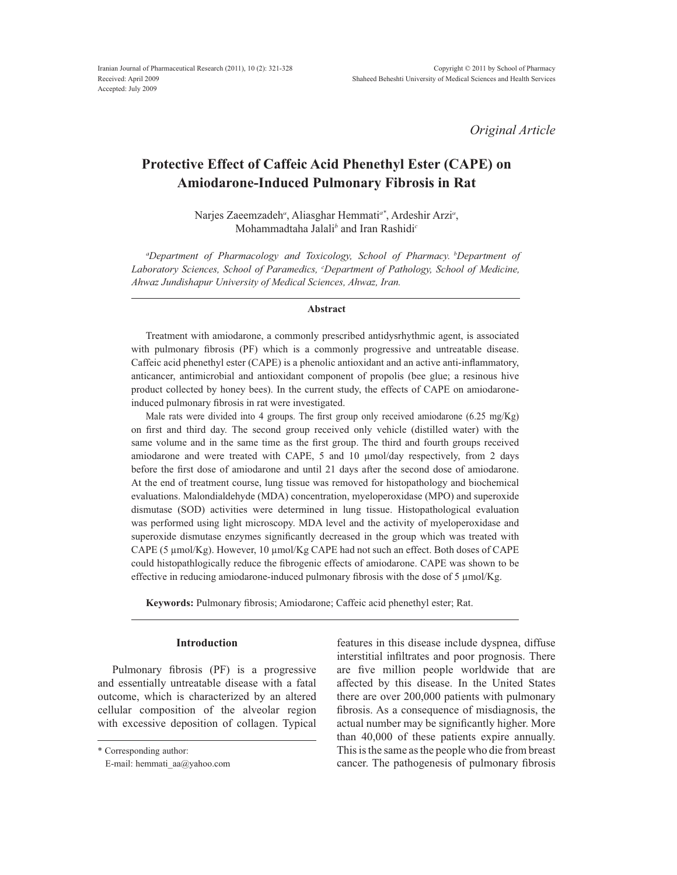*Original Article*

# **Protective Effect of Caffeic Acid Phenethyl Ester (CAPE) on Amiodarone-Induced Pulmonary Fibrosis in Rat**

Narjes Zaeemzadeh<sup>*a*</sup>, Aliasghar Hemmati<sup>a\*</sup>, Ardeshir Arzi<sup>a</sup>, Mohammadtaha Jalali*<sup>b</sup>* and Iran Rashidi*<sup>c</sup>*

*a Department of Pharmacology and Toxicology, School of Pharmacy. bDepartment of b Laboratory Sciences, School of Paramedics, <sup>c</sup> Department of Pathology, School of Medicine, Ahwaz Jundishapur University of Medical Sciences, Ahwaz, Iran.*

## **Abstract**

Treatment with amiodarone, a commonly prescribed antidysrhythmic agent, is associated with pulmonary fibrosis (PF) which is a commonly progressive and untreatable disease. Caffeic acid phenethyl ester (CAPE) is a phenolic antioxidant and an active anti-inflammatory, anticancer, antimicrobial and antioxidant component of propolis (bee glue; a resinous hive product collected by honey bees). In the current study, the effects of CAPE on amiodaroneinduced pulmonary fibrosis in rat were investigated.

Male rats were divided into 4 groups. The first group only received amiodarone  $(6.25 \text{ mg/Kg})$ on first and third day. The second group received only vehicle (distilled water) with the same volume and in the same time as the first group. The third and fourth groups received amiodarone and were treated with CAPE, 5 and 10  $\mu$ mol/day respectively, from 2 days before the first dose of amiodarone and until 21 days after the second dose of amiodarone. At the end of treatment course, lung tissue was removed for histopathology and biochemical evaluations. Malondialdehyde (MDA) concentration, myeloperoxidase (MPO) and superoxide dismutase (SOD) activities were determined in lung tissue. Histopathological evaluation was performed using light microscopy. MDA level and the activity of myeloperoxidase and superoxide dismutase enzymes significantly decreased in the group which was treated with CAPE (5  $\mu$ mol/Kg). However, 10  $\mu$ mol/Kg CAPE had not such an effect. Both doses of CAPE could histopathlogically reduce the fibrogenic effects of amiodarone. CAPE was shown to be effective in reducing amiodarone-induced pulmonary fibrosis with the dose of 5  $\mu$ mol/Kg.

**Keywords:** Pulmonary fibrosis; Amiodarone; Caffeic acid phenethyl ester; Rat.

#### **Introduction**

Pulmonary fibrosis (PF) is a progressive and essentially untreatable disease with a fatal outcome, which is characterized by an altered cellular composition of the alveolar region with excessive deposition of collagen. Typical features in this disease include dyspnea, diffuse interstitial infiltrates and poor prognosis. There are five million people worldwide that are affected by this disease. In the United States there are over 200,000 patients with pulmonary fibrosis. As a consequence of misdiagnosis, the actual number may be significantly higher. More than 40,000 of these patients expire annually. This is the same as the people who die from breast cancer. The pathogenesis of pulmonary fibrosis

<sup>\*</sup> Corresponding author:

E-mail: hemmati\_aa@yahoo.com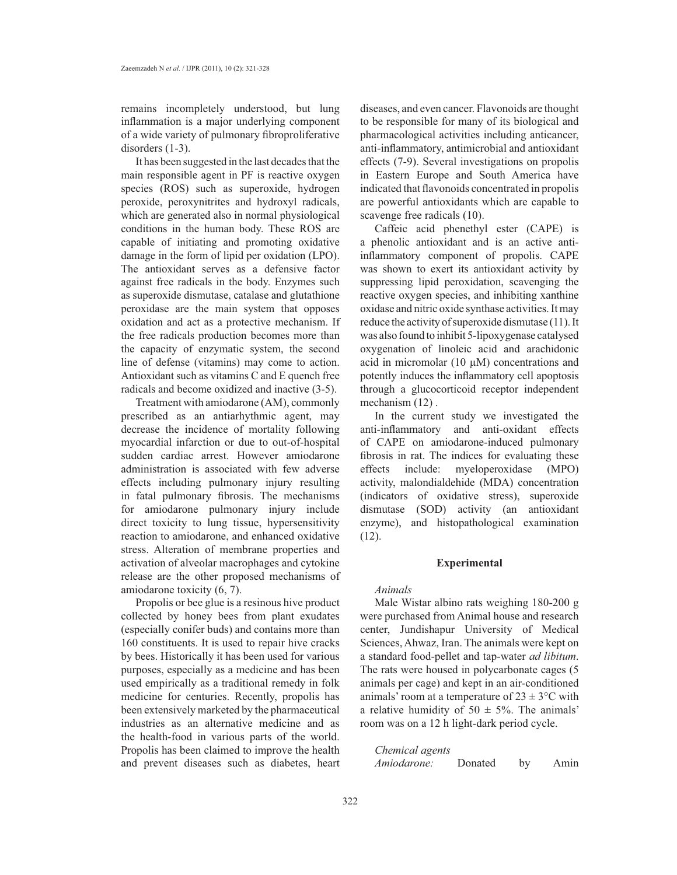remains incompletely understood, but lung inflammation is a major underlying component of a wide variety of pulmonary fibroproliferative disorders (1-3).

It has been suggested in the last decades that the main responsible agent in PF is reactive oxygen species (ROS) such as superoxide, hydrogen peroxide, peroxynitrites and hydroxyl radicals, which are generated also in normal physiological conditions in the human body. These ROS are capable of initiating and promoting oxidative damage in the form of lipid per oxidation (LPO). The antioxidant serves as a defensive factor against free radicals in the body. Enzymes such as superoxide dismutase, catalase and glutathione peroxidase are the main system that opposes oxidation and act as a protective mechanism. If the free radicals production becomes more than the capacity of enzymatic system, the second line of defense (vitamins) may come to action. Antioxidant such as vitamins C and E quench free radicals and become oxidized and inactive (3-5).

Treatment with amiodarone (AM), commonly prescribed as an antiarhythmic agent, may decrease the incidence of mortality following myocardial infarction or due to out-of-hospital sudden cardiac arrest. However amiodarone administration is associated with few adverse effects including pulmonary injury resulting in fatal pulmonary fibrosis. The mechanisms for amiodarone pulmonary injury include direct toxicity to lung tissue, hypersensitivity reaction to amiodarone, and enhanced oxidative stress. Alteration of membrane properties and activation of alveolar macrophages and cytokine release are the other proposed mechanisms of amiodarone toxicity (6, 7).

Propolis or bee glue is a resinous hive product collected by honey bees from plant exudates (especially conifer buds) and contains more than 160 constituents. It is used to repair hive cracks by bees. Historically it has been used for various purposes, especially as a medicine and has been used empirically as a traditional remedy in folk medicine for centuries. Recently, propolis has been extensively marketed by the pharmaceutical industries as an alternative medicine and as the health-food in various parts of the world. Propolis has been claimed to improve the health and prevent diseases such as diabetes, heart

diseases, and even cancer. Flavonoids are thought to be responsible for many of its biological and pharmacological activities including anticancer, anti-inflammatory, antimicrobial and antioxidant effects (7-9). Several investigations on propolis in Eastern Europe and South America have indicated that flavonoids concentrated in propolis are powerful antioxidants which are capable to scavenge free radicals (10).

Caffeic acid phenethyl ester (CAPE) is a phenolic antioxidant and is an active antiinflammatory component of propolis. CAPE was shown to exert its antioxidant activity by suppressing lipid peroxidation, scavenging the reactive oxygen species, and inhibiting xanthine oxidase and nitric oxide synthase activities. It may reduce the activity of superoxide dismutase (11). It was also found to inhibit 5-lipoxygenase catalysed oxygenation of linoleic acid and arachidonic acid in micromolar (10  $\mu$ M) concentrations and potently induces the inflammatory cell apoptosis through a glucocorticoid receptor independent mechanism  $(12)$ .

In the current study we investigated the anti-inflammatory and anti-oxidant effects of CAPE on amiodarone-induced pulmonary fibrosis in rat. The indices for evaluating these effects include: myeloperoxidase (MPO) activity, malondialdehide (MDA) concentration (indicators of oxidative stress), superoxide dismutase (SOD) activity (an antioxidant enzyme), and histopathological examination  $(12)$ .

## **Experimental**

# *Animals*

Male Wistar albino rats weighing 180-200 g were purchased from Animal house and research center, Jundishapur University of Medical Sciences, Ahwaz, Iran. The animals were kept on a standard food-pellet and tap-water *ad libitum*. The rats were housed in polycarbonate cages (5 animals per cage) and kept in an air-conditioned animals' room at a temperature of  $23 \pm 3$ °C with a relative humidity of  $50 \pm 5\%$ . The animals' room was on a 12 h light-dark period cycle.

| Chemical agents    |         |    |      |
|--------------------|---------|----|------|
| <i>Amiodarone:</i> | Donated | by | Amin |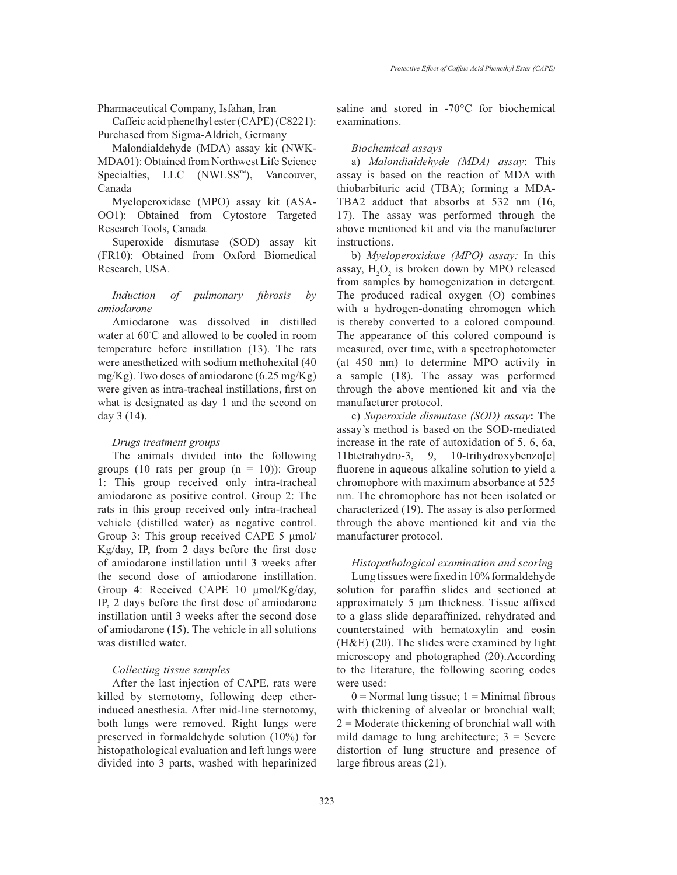Pharmaceutical Company, Isfahan, Iran

Caffeic acid phenethyl ester (CAPE)(C8221): Purchased from Sigma-Aldrich, Germany

Malondialdehyde (MDA) assay kit (NWK-MDA01): Obtained from Northwest Life Science Specialties, LLC (NWLSS™), Vancouver, Canada

Myeloperoxidase (MPO) assay kit (ASA-OO1): Obtained from Cytostore Targeted Research Tools, Canada

Superoxide dismutase (SOD) assay kit (FR10): Obtained from Oxford Biomedical Research, USA.

*Induction of pulmonary fibrosis by amiodarone*

Amiodarone was dissolved in distilled water at 60 C and allowed to be cooled in room temperature before instillation (13). The rats were anesthetized with sodium methohexital (40 mg/Kg). Two doses of amiodarone (6.25 mg/Kg) were given as intra-tracheal instillations, first on what is designated as day 1 and the second on day 3 (14).

#### *Drugs treatment groups*

The animals divided into the following groups (10 rats per group  $(n = 10)$ ): Group 1: This group received only intra-tracheal amiodarone as positive control. Group 2: The rats in this group received only intra-tracheal vehicle (distilled water) as negative control. Group 3: This group received CAPE  $5 \mu$ mol/ Kg/day, IP, from 2 days before the first dose of amiodarone instillation until 3 weeks after the second dose of amiodarone instillation. Group 4: Received CAPE 10 µmol/Kg/day, IP, 2 days before the first dose of amiodarone instillation until 3 weeks after the second dose of amiodarone (15). The vehicle in all solutions was distilled water.

## *Collecting tissue samples*

After the last injection of CAPE, rats were killed by sternotomy, following deep etherinduced anesthesia. After mid-line sternotomy, both lungs were removed. Right lungs were preserved in formaldehyde solution (10%) for histopathological evaluation and left lungs were divided into 3 parts, washed with heparinized saline and stored in  $-70^{\circ}$ C for biochemical examinations.

## *Biochemical assays*

a) *Malondialdehyde (MDA) assay*: This assay is based on the reaction of MDA with thiobarbituric acid (TBA); forming a MDA-TBA2 adduct that absorbs at 532 nm (16, 17). The assay was performed through the above mentioned kit and via the manufacturer instructions.

b) *Myeloperoxidase (MPO) assay:* In this assay,  $H_2O_2$  is broken down by MPO released from samples by homogenization in detergent. The produced radical oxygen (O) combines with a hydrogen-donating chromogen which is thereby converted to a colored compound. The appearance of this colored compound is measured, over time, with a spectrophotometer (at 450 nm) to determine MPO activity in a sample (18). The assay was performed through the above mentioned kit and via the manufacturer protocol.

c) *Superoxide dismutase (SOD) assay***:** The assay's method is based on the SOD-mediated increase in the rate of autoxidation of 5, 6, 6a, 11btetrahydro-3, 9, 10-trihydroxybenzo[c] fluorene in aqueous alkaline solution to yield a chromophore with maximum absorbance at 525 nm. The chromophore has not been isolated or characterized (19). The assay is also performed through the above mentioned kit and via the manufacturer protocol.

#### *Histopathological examination and scoring*

Lung tissues were fixed in  $10\%$  formaldehyde solution for paraffin slides and sectioned at approximately 5  $\mu$ m thickness. Tissue affixed to a glass slide deparaffinized, rehydrated and counterstained with hematoxylin and eosin (H&E) (20). The slides were examined by light microscopy and photographed (20).According to the literature, the following scoring codes were used:

 $0 =$  Normal lung tissue;  $1 =$  Minimal fibrous with thickening of alveolar or bronchial wall;  $2 =$ Moderate thickening of bronchial wall with mild damage to lung architecture;  $3 =$  Severe distortion of lung structure and presence of large fibrous areas  $(21)$ .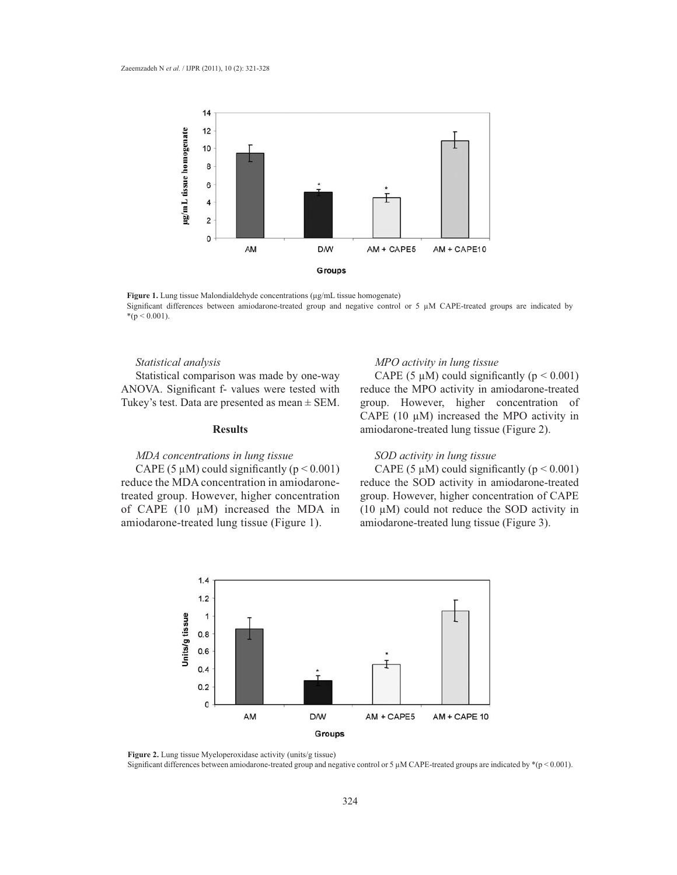

Figure 1. Lung tissue Malondialdehyde concentrations (µg/mL tissue homogenate) Significant differences between amiodarone-treated group and negative control or 5  $\mu$ M CAPE-treated groups are indicated by  $*(p < 0.001).$ 

# *Statistical analysis*

Statistical comparison was made by one-way ANOVA. Significant f- values were tested with Tukey's test. Data are presented as mean  $\pm$  SEM.

#### **Results**

# *MDA concentrations in lung tissue*

CAPE (5  $\mu$ M) could significantly (p < 0.001) reduce the MDA concentration in amiodaronetreated group. However, higher concentration of CAPE  $(10 \mu M)$  increased the MDA in amiodarone-treated lung tissue (Figure 1).

## *MPO activity in lung tissue*

CAPE (5  $\mu$ M) could significantly ( $p < 0.001$ ) reduce the MPO activity in amiodarone-treated group. However, higher concentration of CAPE (10  $\mu$ M) increased the MPO activity in amiodarone-treated lung tissue (Figure 2).

# *SOD activity in lung tissue*

CAPE (5  $\mu$ M) could significantly (p < 0.001) reduce the SOD activity in amiodarone-treated group. However, higher concentration of CAPE (10  $\mu$ M) could not reduce the SOD activity in amiodarone-treated lung tissue (Figure 3).



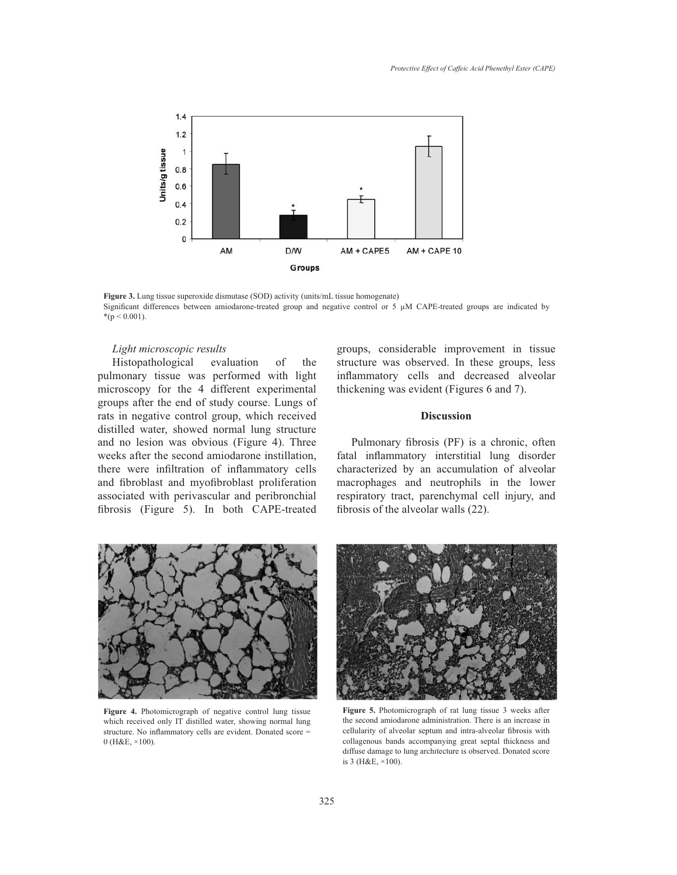

Figure 3. Lung tissue superoxide dismutase (SOD) activity (units/mL tissue homogenate) Significant differences between amiodarone-treated group and negative control or 5  $\mu$ M CAPE-treated groups are indicated by \* $(p < 0.001)$ .

# *Light microscopic results*

Histopathological evaluation of the pulmonary tissue was performed with light microscopy for the 4 different experimental groups after the end of study course. Lungs of rats in negative control group, which received distilled water, showed normal lung structure and no lesion was obvious (Figure 4). Three weeks after the second amiodarone instillation, there were infiltration of inflammatory cells and fibroblast and myofibroblast proliferation associated with perivascular and peribronchial fibrosis (Figure 5). In both CAPE-treated

groups, considerable improvement in tissue structure was observed. In these groups, less inflammatory cells and decreased alveolar thickening was evident (Figures 6 and 7).

# **Discussion**

Pulmonary fibrosis (PF) is a chronic, often fatal inflammatory interstitial lung disorder characterized by an accumulation of alveolar macrophages and neutrophils in the lower respiratory tract, parenchymal cell injury, and fibrosis of the alveolar walls  $(22)$ .



**Figure 4.** Photomicrograph of negative control lung tissue which received only IT distilled water, showing normal lung structure. No inflammatory cells are evident. Donated score = 0 (H&E, ×100).



**Figure 5.** Photomicrograph of rat lung tissue 3 weeks after the second amiodarone administration. There is an increase in cellularity of alveolar septum and intra-alveolar fibrosis with collagenous bands accompanying great septal thickness and diffuse damage to lung architecture is observed. Donated score is 3 (H&E, ×100).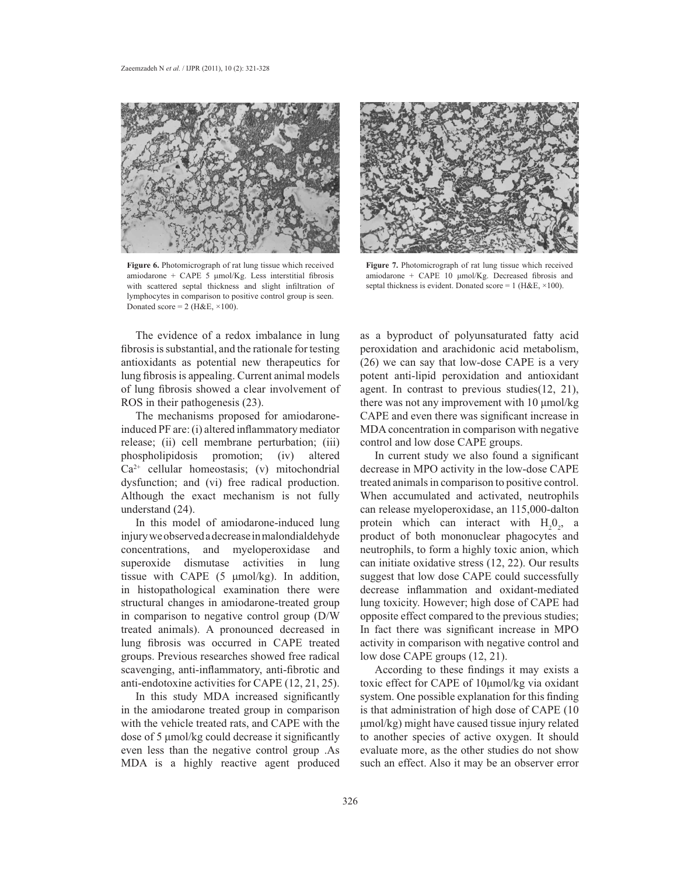

**Figure 6.** Photomicrograph of rat lung tissue which received amiodarone + CAPE 5  $\mu$ mol/Kg. Less interstitial fibrosis with scattered septal thickness and slight infiltration of lymphocytes in comparison to positive control group is seen. Donated score =  $2$  (H&E,  $\times$ 100).



**Figure 7.** Photomicrograph of rat lung tissue which received amiodarone + CAPE  $10 \text{ \mu mol/Kg}$ . Decreased fibrosis and septal thickness is evident. Donated score = 1 (H&E,  $\times$ 100).

The evidence of a redox imbalance in lung fibrosis is substantial, and the rationale for testing antioxidants as potential new therapeutics for lung fibrosis is appealing. Current animal models of lung fibrosis showed a clear involvement of ROS in their pathogenesis (23).

The mechanisms proposed for amiodaroneinduced PF are: (i) altered inflammatory mediator release; (ii) cell membrane perturbation; (iii) phospholipidosis promotion; (iv) altered  $Ca<sup>2+</sup>$  cellular homeostasis; (v) mitochondrial dysfunction; and (vi) free radical production. Although the exact mechanism is not fully understand (24).

In this model of amiodarone-induced lung injury we observed a decrease in malondialdehyde concentrations, and myeloperoxidase and superoxide dismutase activities in lung tissue with CAPE  $(5 \mu \text{mol/kg})$ . In addition, in histopathological examination there were structural changes in amiodarone-treated group in comparison to negative control group (D/W treated animals). A pronounced decreased in lung fibrosis was occurred in CAPE treated groups. Previous researches showed free radical scavenging, anti-inflammatory, anti-fibrotic and anti-endotoxine activities for CAPE (12, 21, 25).

In this study MDA increased significantly in the amiodarone treated group in comparison with the vehicle treated rats, and CAPE with the dose of 5  $\mu$ mol/kg could decrease it significantly even less than the negative control group .As MDA is a highly reactive agent produced

as a byproduct of polyunsaturated fatty acid peroxidation and arachidonic acid metabolism, (26) we can say that low-dose CAPE is a very potent anti-lipid peroxidation and antioxidant agent. In contrast to previous studies(12, 21), there was not any improvement with  $10 \mu$ mol/kg CAPE and even there was significant increase in MDA concentration in comparison with negative control and low dose CAPE groups.

In current study we also found a significant decrease in MPO activity in the low-dose CAPE treated animals in comparison to positive control. When accumulated and activated, neutrophils can release myeloperoxidase, an 115,000-dalton protein which can interact with  $H_2O_2$ , a product of both mononuclear phagocytes and neutrophils, to form a highly toxic anion, which can initiate oxidative stress (12, 22). Our results suggest that low dose CAPE could successfully decrease inflammation and oxidant-mediated lung toxicity. However; high dose of CAPE had opposite effect compared to the previous studies; In fact there was significant increase in MPO activity in comparison with negative control and low dose CAPE groups (12, 21).

According to these findings it may exists a toxic effect for CAPE of 10µmol/kg via oxidant system. One possible explanation for this finding is that administration of high dose of CAPE (10  $\mu$ mol/kg) might have caused tissue injury related to another species of active oxygen. It should evaluate more, as the other studies do not show such an effect. Also it may be an observer error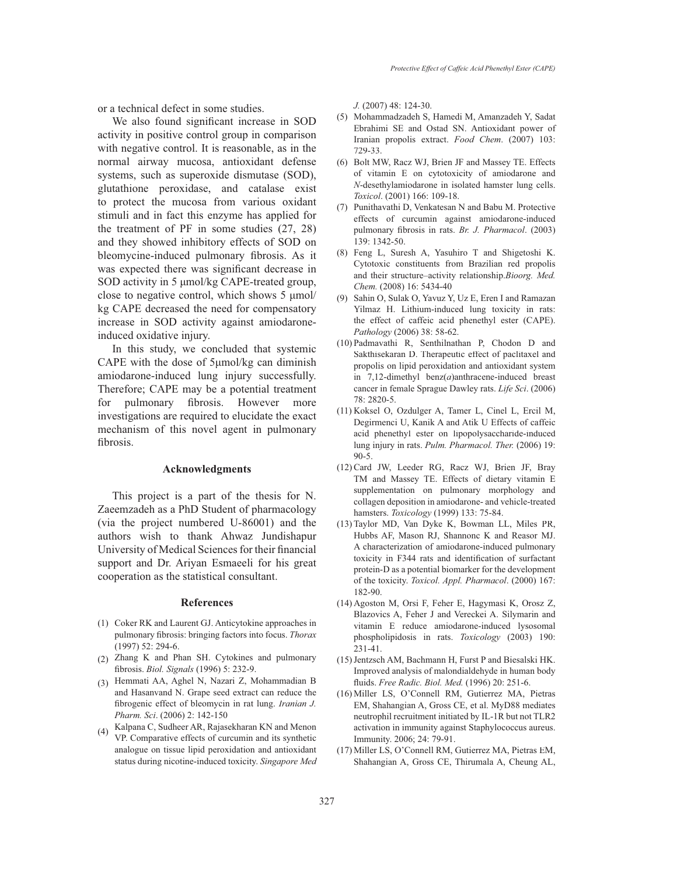or a technical defect in some studies.

We also found significant increase in SOD activity in positive control group in comparison with negative control. It is reasonable, as in the normal airway mucosa, antioxidant defense systems, such as superoxide dismutase (SOD), glutathione peroxidase, and catalase exist to protect the mucosa from various oxidant stimuli and in fact this enzyme has applied for the treatment of PF in some studies (27, 28) and they showed inhibitory effects of SOD on bleomycine-induced pulmonary fibrosis. As it was expected there was significant decrease in SOD activity in 5 umol/kg CAPE-treated group, close to negative control, which shows  $5 \mu$ mol/ kg CAPE decreased the need for compensatory increase in SOD activity against amiodaroneinduced oxidative injury.

In this study, we concluded that systemic CAPE with the dose of  $5\mu$ mol/kg can diminish amiodarone-induced lung injury successfully. Therefore; CAPE may be a potential treatment for pulmonary fibrosis. However more investigations are required to elucidate the exact mechanism of this novel agent in pulmonary fibrosis.

#### **Acknowledgments**

This project is a part of the thesis for N. Zaeemzadeh as a PhD Student of pharmacology (via the project numbered U-86001) and the authors wish to thank Ahwaz Jundishapur University of Medical Sciences for their financial support and Dr. Ariyan Esmaeeli for his great cooperation as the statistical consultant.

#### **References**

- (1) Coker RK and Laurent GJ. Anticytokine approaches in pulmonary fibrosis: bringing factors into focus. *Thorax* (1997) 52: 294-6.
- (2) Zhang K and Phan SH. Cytokines and pulmonary fibrosis. Biol. Signals (1996) 5: 232-9.
- Hemmati AA, Aghel N, Nazari Z, Mohammadian B (3) and Hasanvand N. Grape seed extract can reduce the fibrogenic effect of bleomycin in rat lung. Iranian J. *Pharm. Sci*. (2006) 2: 142-150
- Kalpana C, Sudheer AR, Rajasekharan KN and Menon (4) VP. Comparative effects of curcumin and its synthetic analogue on tissue lipid peroxidation and antioxidant status during nicotine-induced toxicity. *Singapore Med*

*J.* (2007) 48: 124-30.

- (5) Mohammadzadeh S, Hamedi M, Amanzadeh Y, Sadat Ebrahimi SE and Ostad SN. Antioxidant power of Iranian propolis extract. *Food Chem*. (2007) 103: 729-33.
- (6) Bolt MW, Racz WJ, Brien JF and Massey TE. Effects of vitamin E on cytotoxicity of amiodarone and *N*-desethylamiodarone in isolated hamster lung cells. *Toxicol*. (2001) 166: 109-18.
- (7) Punithavathi D, Venkatesan N and Babu M. Protective effects of curcumin against amiodarone-induced pulmonary fibrosis in rats. Br. J. Pharmacol. (2003) 139: 1342-50.
- (8) Feng L, Suresh A, Yasuhiro T and Shigetoshi K. Cytotoxic constituents from Brazilian red propolis and their structure–activity relationship.*Bioorg. Med. Chem.* (2008) 16: 5434-40
- (9) Sahin O, Sulak O, Yavuz Y, Uz E, Eren I and Ramazan Yilmaz H. Lithium-induced lung toxicity in rats: the effect of caffeic acid phenethyl ester (CAPE). *Pathology* (2006) 38: 58-62.
- (10) Padmavathi R, Senthilnathan P, Chodon D and Sakthisekaran D. Therapeutic effect of paclitaxel and propolis on lipid peroxidation and antioxidant system in 7,12-dimethyl benz(*a*)anthracene-induced breast cancer in female Sprague Dawley rats. *Life Sci*. (2006) 78: 2820-5.
- (11) Koksel O, Ozdulger A, Tamer L, Cinel L, Ercil M, Degirmenci U, Kanik A and Atik U Effects of caffeic acid phenethyl ester on lipopolysaccharide-induced lung injury in rats. *Pulm. Pharmacol. Ther.* (2006) 19: 90-5.
- (12) Card JW, Leeder RG, Racz WJ, Brien JF, Bray TM and Massey TE. Effects of dietary vitamin E supplementation on pulmonary morphology and collagen deposition in amiodarone- and vehicle-treated hamsters. *Toxicology* (1999) 133: 75-84.
- (13) Taylor MD, Van Dyke K, Bowman LL, Miles PR, Hubbs AF, Mason RJ, Shannonc K and Reasor MJ. A characterization of amiodarone-induced pulmonary toxicity in F344 rats and identification of surfactant protein-D as a potential biomarker for the development of the toxicity. *Toxicol. Appl. Pharmacol*. (2000) 167: 182-90.
- (14) Agoston M, Orsi F, Feher E, Hagymasi K, Orosz Z, Blazovics A, Feher J and Vereckei A. Silymarin and vitamin E reduce amiodarone-induced lysosomal phospholipidosis in rats. *Toxicology* (2003) 190: 231-41.
- (15) Jentzsch AM, Bachmann H, Furst P and Biesalski HK. Improved analysis of malondialdehyde in human body fluids. Free Radic. Biol. Med. (1996) 20: 251-6.
- (16) Miller LS, O'Connell RM, Gutierrez MA, Pietras EM, Shahangian A, Gross CE, et al. MyD88 mediates neutrophil recruitment initiated by IL-1R but not TLR2 activation in immunity against Staphylococcus aureus. Immunity. 2006; 24: 79-91.
- (17) Miller LS, O'Connell RM, Gutierrez MA, Pietras EM, Shahangian A, Gross CE, Thirumala A, Cheung AL,